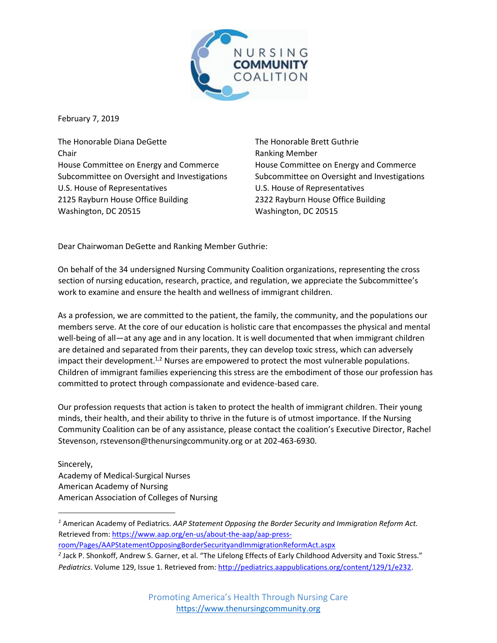

February 7, 2019

The Honorable Diana DeGette Chair House Committee on Energy and Commerce Subcommittee on Oversight and Investigations U.S. House of Representatives 2125 Rayburn House Office Building Washington, DC 20515

The Honorable Brett Guthrie Ranking Member House Committee on Energy and Commerce Subcommittee on Oversight and Investigations U.S. House of Representatives 2322 Rayburn House Office Building Washington, DC 20515

Dear Chairwoman DeGette and Ranking Member Guthrie:

On behalf of the 34 undersigned Nursing Community Coalition organizations, representing the cross section of nursing education, research, practice, and regulation, we appreciate the Subcommittee's work to examine and ensure the health and wellness of immigrant children.

As a profession, we are committed to the patient, the family, the community, and the populations our members serve. At the core of our education is holistic care that encompasses the physical and mental well-being of all—at any age and in any location. It is well documented that when immigrant children are detained and separated from their parents, they can develop toxic stress, which can adversely impact their development.<sup>1,2</sup> Nurses are empowered to protect the most vulnerable populations. Children of immigrant families experiencing this stress are the embodiment of those our profession has committed to protect through compassionate and evidence-based care.

Our profession requests that action is taken to protect the health of immigrant children. Their young minds, their health, and their ability to thrive in the future is of utmost importance. If the Nursing Community Coalition can be of any assistance, please contact the coalition's Executive Director, Rachel Stevenson, rstevenson@thenursingcommunity.org or at 202-463-6930.

Sincerely, Academy of Medical-Surgical Nurses American Academy of Nursing American Association of Colleges of Nursing

 $\overline{\phantom{a}}$ 

- [room/Pages/AAPStatementOpposingBorderSecurityandImmigrationReformAct.aspx](https://www.aap.org/en-us/about-the-aap/aap-press-room/Pages/AAPStatementOpposingBorderSecurityandImmigrationReformAct.aspx)
- *2* Jack P. Shonkoff, Andrew S. Garner, et al. "The Lifelong Effects of Early Childhood Adversity and Toxic Stress." Pediatrics. Volume 129, Issue 1. Retrieved fro[m: http://pediatrics.aappublications.org/content/129/1/e232.](http://pediatrics.aappublications.org/content/129/1/e232)

*<sup>1</sup>* American Academy of Pediatrics. *AAP Statement Opposing the Border Security and Immigration Reform Act.*  Retrieved fro[m: https://www.aap.org/en-us/about-the-aap/aap-press-](https://www.aap.org/en-us/about-the-aap/aap-press-room/Pages/AAPStatementOpposingBorderSecurityandImmigrationReformAct.aspx)